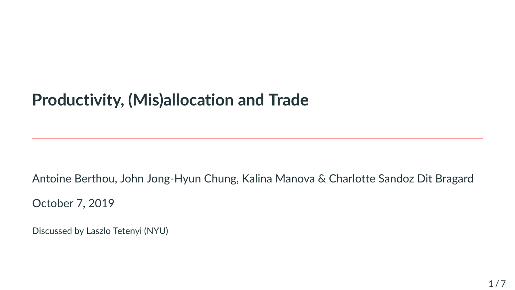# **Productivity, (Mis)allocation and Trade**

Antoine Berthou, John Jong-Hyun Chung, Kalina Manova & Charlotte Sandoz Dit Bragard

October 7, 2019

Discussed by Laszlo Tetenyi (NYU)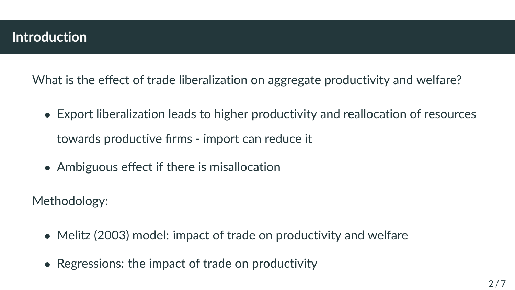What is the effect of trade liberalization on aggregate productivity and welfare?

- Export liberalization leads to higher productivity and reallocation of resources towards productive firms - import can reduce it
- Ambiguous effect if there is misallocation

Methodology:

- Melitz (2003) model: impact of trade on productivity and welfare
- Regressions: the impact of trade on productivity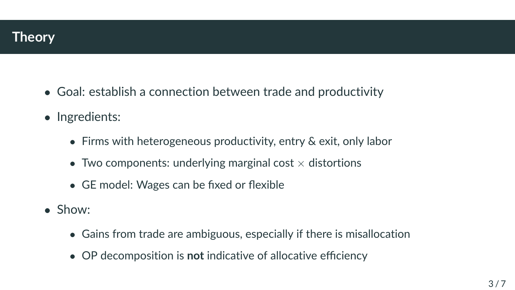

- Goal: establish a connection between trade and productivity
- Ingredients:
	- Firms with heterogeneous productivity, entry & exit, only labor
	- Two components: underlying marginal cost  $\times$  distortions
	- GE model: Wages can be fixed or flexible
- Show:
	- Gains from trade are ambiguous, especially if there is misallocation
	- OP decomposition is **not** indicative of allocative efficiency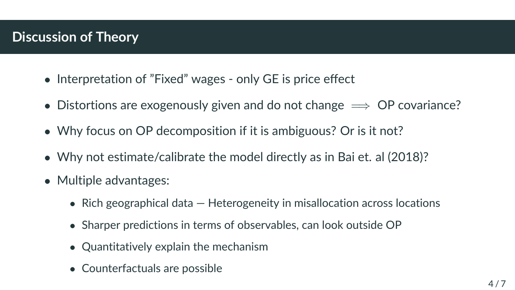## **Discussion of Theory**

- Interpretation of "Fixed" wages only GE is price effect
- Distortions are exogenously given and do not change  $\implies$  OP covariance?
- Why focus on OP decomposition if it is ambiguous? Or is it not?
- Why not estimate/calibrate the model directly as in Bai et. al (2018)?
- Multiple advantages:
	- Rich geographical data Heterogeneity in misallocation across locations
	- Sharper predictions in terms of observables, can look outside OP
	- Quantitatively explain the mechanism
	- Counterfactuals are possible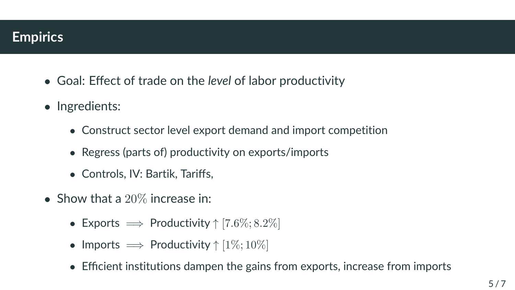#### **Empirics**

- Goal: Effect of trade on the *level* of labor productivity
- Ingredients:
	- Construct sector level export demand and import competition
	- Regress (parts of) productivity on exports/imports
	- Controls, IV: Bartik, Tariffs,
- Show that a 20% increase in:
	- Exports  $\implies$  Productivity  $\uparrow$  [7.6%; 8.2%]
	- Imports  $\implies$  Productivity  $\uparrow$  [1\%; 10\%]
	- Efficient institutions dampen the gains from exports, increase from imports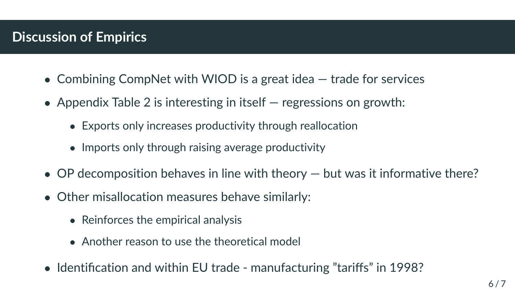### **Discussion of Empirics**

- Combining CompNet with WIOD is a great idea trade for services
- Appendix Table 2 is interesting in itself regressions on growth:
	- Exports only increases productivity through reallocation
	- Imports only through raising average productivity
- OP decomposition behaves in line with theory but was it informative there?
- Other misallocation measures behave similarly:
	- Reinforces the empirical analysis
	- Another reason to use the theoretical model
- Identification and within EU trade manufacturing "tariffs" in 1998?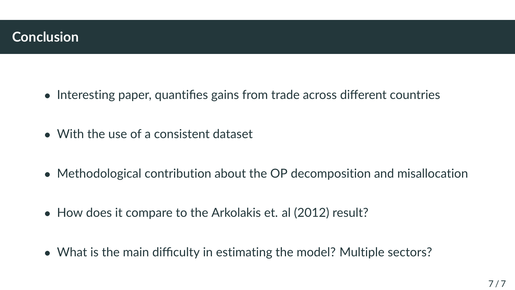- Interesting paper, quantifies gains from trade across different countries
- With the use of a consistent dataset
- Methodological contribution about the OP decomposition and misallocation
- How does it compare to the Arkolakis et. al (2012) result?
- What is the main difficulty in estimating the model? Multiple sectors?